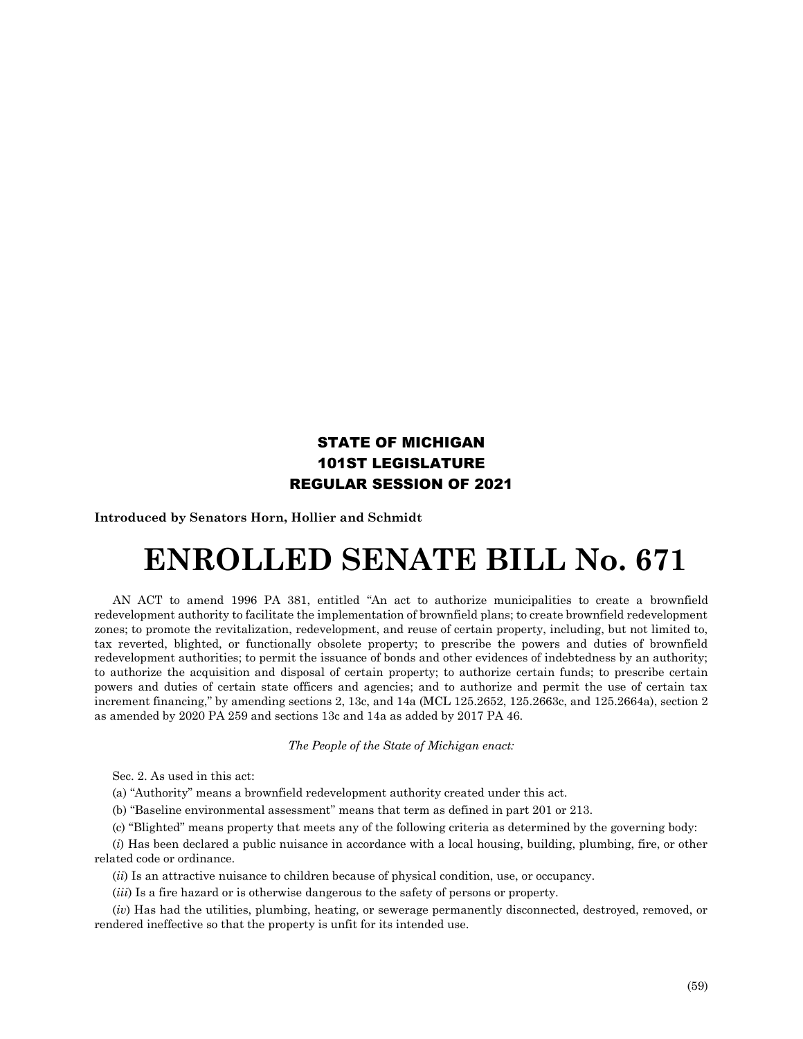## STATE OF MICHIGAN 101ST LEGISLATURE REGULAR SESSION OF 2021

**Introduced by Senators Horn, Hollier and Schmidt**

## **ENROLLED SENATE BILL No. 671**

AN ACT to amend 1996 PA 381, entitled "An act to authorize municipalities to create a brownfield redevelopment authority to facilitate the implementation of brownfield plans; to create brownfield redevelopment zones; to promote the revitalization, redevelopment, and reuse of certain property, including, but not limited to, tax reverted, blighted, or functionally obsolete property; to prescribe the powers and duties of brownfield redevelopment authorities; to permit the issuance of bonds and other evidences of indebtedness by an authority; to authorize the acquisition and disposal of certain property; to authorize certain funds; to prescribe certain powers and duties of certain state officers and agencies; and to authorize and permit the use of certain tax increment financing," by amending sections 2, 13c, and 14a (MCL 125.2652, 125.2663c, and 125.2664a), section 2 as amended by 2020 PA 259 and sections 13c and 14a as added by 2017 PA 46.

## *The People of the State of Michigan enact:*

Sec. 2. As used in this act:

(a) "Authority" means a brownfield redevelopment authority created under this act.

(b) "Baseline environmental assessment" means that term as defined in part 201 or 213.

(c) "Blighted" means property that meets any of the following criteria as determined by the governing body:

(*i*) Has been declared a public nuisance in accordance with a local housing, building, plumbing, fire, or other related code or ordinance.

(*ii*) Is an attractive nuisance to children because of physical condition, use, or occupancy.

(*iii*) Is a fire hazard or is otherwise dangerous to the safety of persons or property.

(*iv*) Has had the utilities, plumbing, heating, or sewerage permanently disconnected, destroyed, removed, or rendered ineffective so that the property is unfit for its intended use.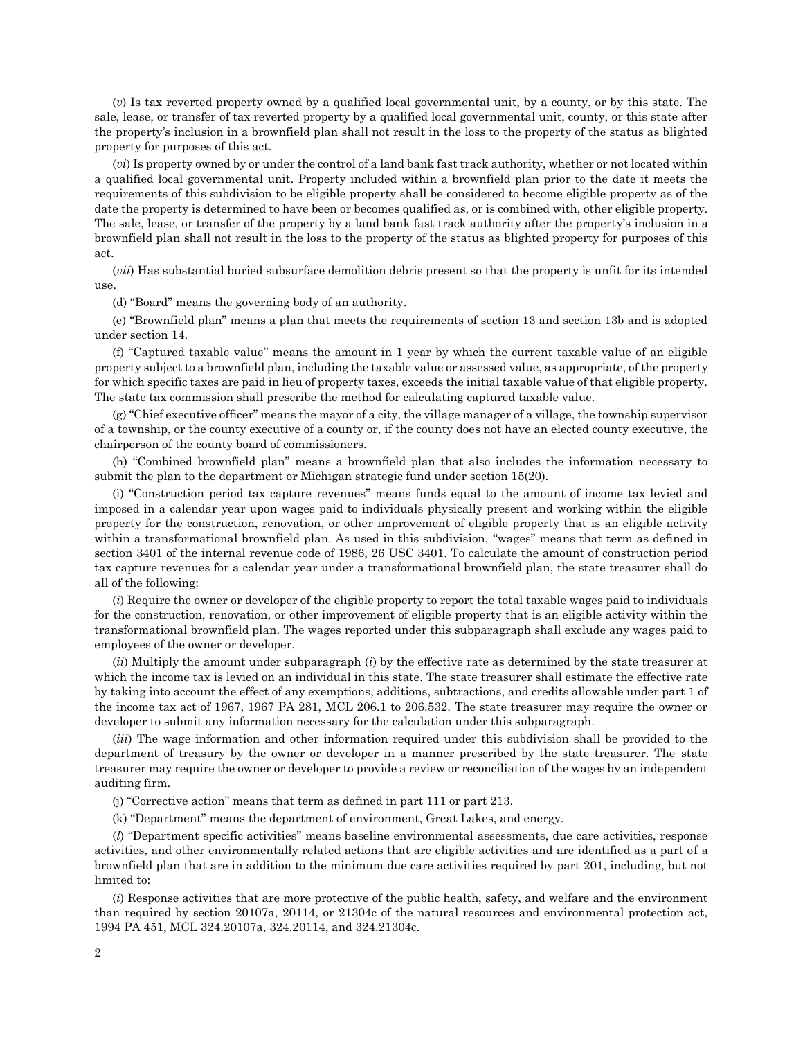(*v*) Is tax reverted property owned by a qualified local governmental unit, by a county, or by this state. The sale, lease, or transfer of tax reverted property by a qualified local governmental unit, county, or this state after the property's inclusion in a brownfield plan shall not result in the loss to the property of the status as blighted property for purposes of this act.

(*vi*) Is property owned by or under the control of a land bank fast track authority, whether or not located within a qualified local governmental unit. Property included within a brownfield plan prior to the date it meets the requirements of this subdivision to be eligible property shall be considered to become eligible property as of the date the property is determined to have been or becomes qualified as, or is combined with, other eligible property. The sale, lease, or transfer of the property by a land bank fast track authority after the property's inclusion in a brownfield plan shall not result in the loss to the property of the status as blighted property for purposes of this act.

(*vii*) Has substantial buried subsurface demolition debris present so that the property is unfit for its intended use.

(d) "Board" means the governing body of an authority.

(e) "Brownfield plan" means a plan that meets the requirements of section 13 and section 13b and is adopted under section 14.

(f) "Captured taxable value" means the amount in 1 year by which the current taxable value of an eligible property subject to a brownfield plan, including the taxable value or assessed value, as appropriate, of the property for which specific taxes are paid in lieu of property taxes, exceeds the initial taxable value of that eligible property. The state tax commission shall prescribe the method for calculating captured taxable value.

(g) "Chief executive officer" means the mayor of a city, the village manager of a village, the township supervisor of a township, or the county executive of a county or, if the county does not have an elected county executive, the chairperson of the county board of commissioners.

(h) "Combined brownfield plan" means a brownfield plan that also includes the information necessary to submit the plan to the department or Michigan strategic fund under section 15(20).

(i) "Construction period tax capture revenues" means funds equal to the amount of income tax levied and imposed in a calendar year upon wages paid to individuals physically present and working within the eligible property for the construction, renovation, or other improvement of eligible property that is an eligible activity within a transformational brownfield plan. As used in this subdivision, "wages" means that term as defined in section 3401 of the internal revenue code of 1986, 26 USC 3401. To calculate the amount of construction period tax capture revenues for a calendar year under a transformational brownfield plan, the state treasurer shall do all of the following:

(*i*) Require the owner or developer of the eligible property to report the total taxable wages paid to individuals for the construction, renovation, or other improvement of eligible property that is an eligible activity within the transformational brownfield plan. The wages reported under this subparagraph shall exclude any wages paid to employees of the owner or developer.

(*ii*) Multiply the amount under subparagraph (*i*) by the effective rate as determined by the state treasurer at which the income tax is levied on an individual in this state. The state treasurer shall estimate the effective rate by taking into account the effect of any exemptions, additions, subtractions, and credits allowable under part 1 of the income tax act of 1967, 1967 PA 281, MCL 206.1 to 206.532. The state treasurer may require the owner or developer to submit any information necessary for the calculation under this subparagraph.

(*iii*) The wage information and other information required under this subdivision shall be provided to the department of treasury by the owner or developer in a manner prescribed by the state treasurer. The state treasurer may require the owner or developer to provide a review or reconciliation of the wages by an independent auditing firm.

(j) "Corrective action" means that term as defined in part 111 or part 213.

(k) "Department" means the department of environment, Great Lakes, and energy.

(*l*) "Department specific activities" means baseline environmental assessments, due care activities, response activities, and other environmentally related actions that are eligible activities and are identified as a part of a brownfield plan that are in addition to the minimum due care activities required by part 201, including, but not limited to:

(*i*) Response activities that are more protective of the public health, safety, and welfare and the environment than required by section 20107a, 20114, or 21304c of the natural resources and environmental protection act, 1994 PA 451, MCL 324.20107a, 324.20114, and 324.21304c.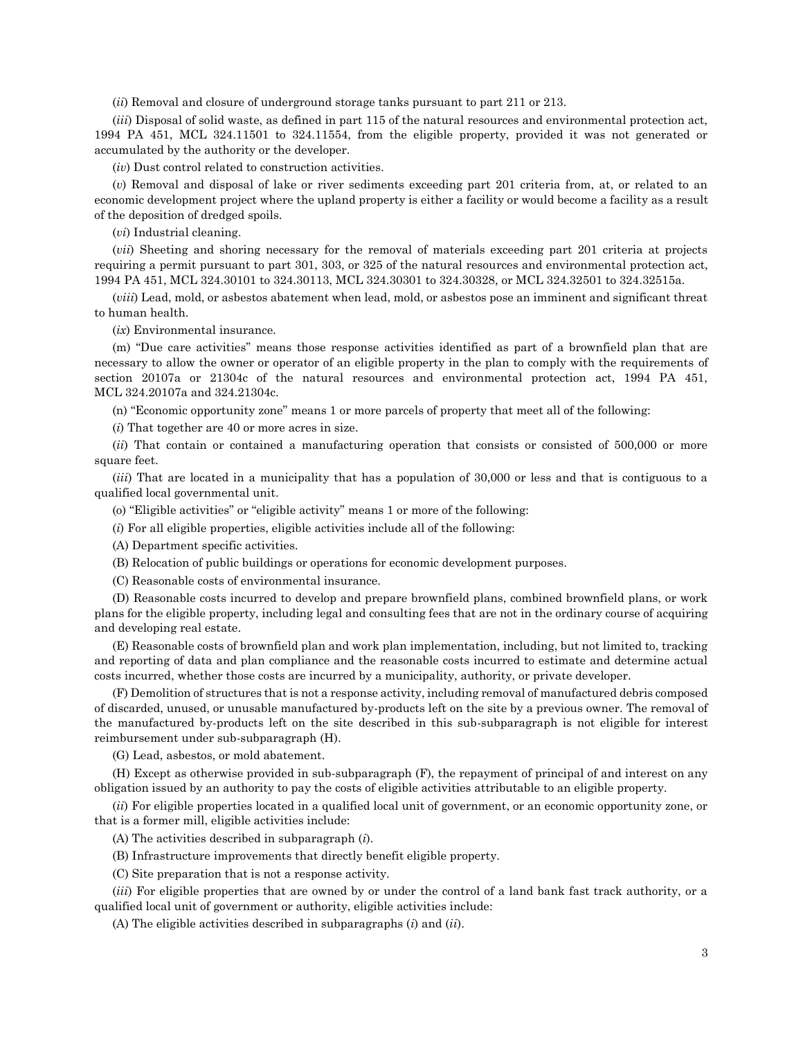(*ii*) Removal and closure of underground storage tanks pursuant to part 211 or 213.

(*iii*) Disposal of solid waste, as defined in part 115 of the natural resources and environmental protection act, 1994 PA 451, MCL 324.11501 to 324.11554, from the eligible property, provided it was not generated or accumulated by the authority or the developer.

(*iv*) Dust control related to construction activities.

(*v*) Removal and disposal of lake or river sediments exceeding part 201 criteria from, at, or related to an economic development project where the upland property is either a facility or would become a facility as a result of the deposition of dredged spoils.

(*vi*) Industrial cleaning.

(*vii*) Sheeting and shoring necessary for the removal of materials exceeding part 201 criteria at projects requiring a permit pursuant to part 301, 303, or 325 of the natural resources and environmental protection act, 1994 PA 451, MCL 324.30101 to 324.30113, MCL 324.30301 to 324.30328, or MCL 324.32501 to 324.32515a.

(*viii*) Lead, mold, or asbestos abatement when lead, mold, or asbestos pose an imminent and significant threat to human health.

(*ix*) Environmental insurance.

(m) "Due care activities" means those response activities identified as part of a brownfield plan that are necessary to allow the owner or operator of an eligible property in the plan to comply with the requirements of section 20107a or 21304c of the natural resources and environmental protection act, 1994 PA 451, MCL 324.20107a and 324.21304c.

(n) "Economic opportunity zone" means 1 or more parcels of property that meet all of the following:

(*i*) That together are 40 or more acres in size.

(*ii*) That contain or contained a manufacturing operation that consists or consisted of 500,000 or more square feet.

(*iii*) That are located in a municipality that has a population of 30,000 or less and that is contiguous to a qualified local governmental unit.

(o) "Eligible activities" or "eligible activity" means 1 or more of the following:

(*i*) For all eligible properties, eligible activities include all of the following:

(A) Department specific activities.

(B) Relocation of public buildings or operations for economic development purposes.

(C) Reasonable costs of environmental insurance.

(D) Reasonable costs incurred to develop and prepare brownfield plans, combined brownfield plans, or work plans for the eligible property, including legal and consulting fees that are not in the ordinary course of acquiring and developing real estate.

(E) Reasonable costs of brownfield plan and work plan implementation, including, but not limited to, tracking and reporting of data and plan compliance and the reasonable costs incurred to estimate and determine actual costs incurred, whether those costs are incurred by a municipality, authority, or private developer.

(F) Demolition of structures that is not a response activity, including removal of manufactured debris composed of discarded, unused, or unusable manufactured by-products left on the site by a previous owner. The removal of the manufactured by-products left on the site described in this sub-subparagraph is not eligible for interest reimbursement under sub-subparagraph (H).

(G) Lead, asbestos, or mold abatement.

(H) Except as otherwise provided in sub-subparagraph (F), the repayment of principal of and interest on any obligation issued by an authority to pay the costs of eligible activities attributable to an eligible property.

(*ii*) For eligible properties located in a qualified local unit of government, or an economic opportunity zone, or that is a former mill, eligible activities include:

(A) The activities described in subparagraph (*i*).

(B) Infrastructure improvements that directly benefit eligible property.

(C) Site preparation that is not a response activity.

(*iii*) For eligible properties that are owned by or under the control of a land bank fast track authority, or a qualified local unit of government or authority, eligible activities include:

(A) The eligible activities described in subparagraphs (*i*) and (*ii*).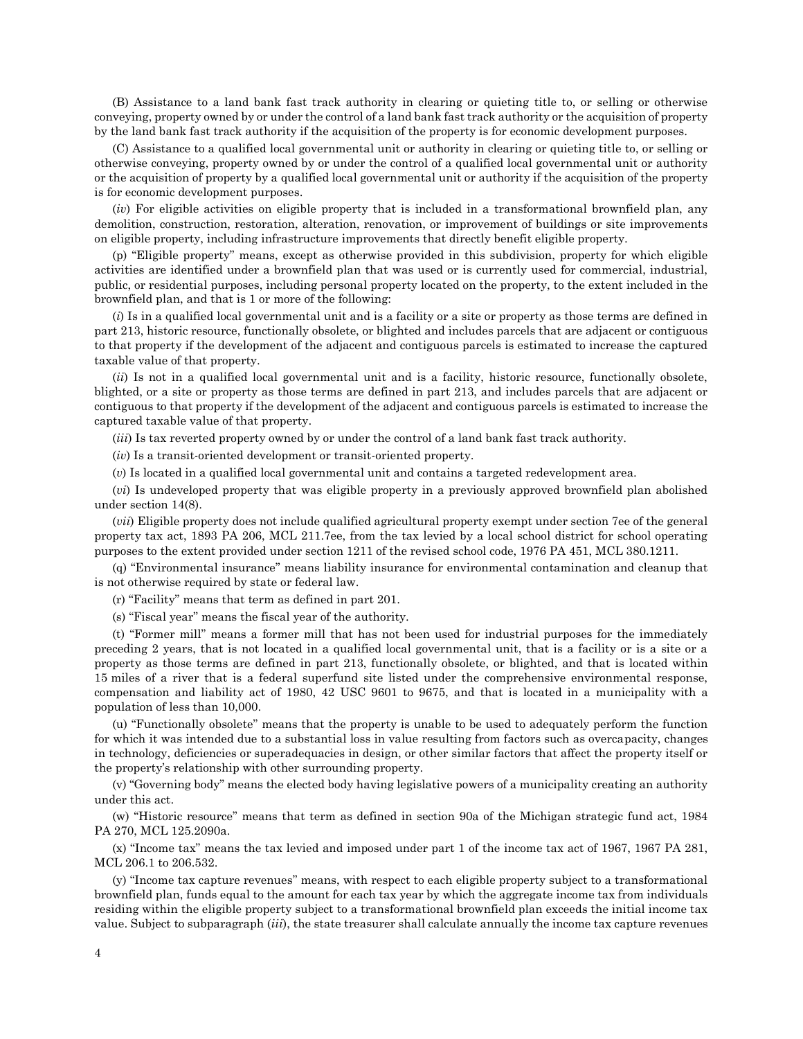(B) Assistance to a land bank fast track authority in clearing or quieting title to, or selling or otherwise conveying, property owned by or under the control of a land bank fast track authority or the acquisition of property by the land bank fast track authority if the acquisition of the property is for economic development purposes.

(C) Assistance to a qualified local governmental unit or authority in clearing or quieting title to, or selling or otherwise conveying, property owned by or under the control of a qualified local governmental unit or authority or the acquisition of property by a qualified local governmental unit or authority if the acquisition of the property is for economic development purposes.

(*iv*) For eligible activities on eligible property that is included in a transformational brownfield plan, any demolition, construction, restoration, alteration, renovation, or improvement of buildings or site improvements on eligible property, including infrastructure improvements that directly benefit eligible property.

(p) "Eligible property" means, except as otherwise provided in this subdivision, property for which eligible activities are identified under a brownfield plan that was used or is currently used for commercial, industrial, public, or residential purposes, including personal property located on the property, to the extent included in the brownfield plan, and that is 1 or more of the following:

(*i*) Is in a qualified local governmental unit and is a facility or a site or property as those terms are defined in part 213, historic resource, functionally obsolete, or blighted and includes parcels that are adjacent or contiguous to that property if the development of the adjacent and contiguous parcels is estimated to increase the captured taxable value of that property.

(*ii*) Is not in a qualified local governmental unit and is a facility, historic resource, functionally obsolete, blighted, or a site or property as those terms are defined in part 213, and includes parcels that are adjacent or contiguous to that property if the development of the adjacent and contiguous parcels is estimated to increase the captured taxable value of that property.

(*iii*) Is tax reverted property owned by or under the control of a land bank fast track authority.

(*iv*) Is a transit-oriented development or transit-oriented property.

(*v*) Is located in a qualified local governmental unit and contains a targeted redevelopment area.

(*vi*) Is undeveloped property that was eligible property in a previously approved brownfield plan abolished under section 14(8).

(*vii*) Eligible property does not include qualified agricultural property exempt under section 7ee of the general property tax act, 1893 PA 206, MCL 211.7ee, from the tax levied by a local school district for school operating purposes to the extent provided under section 1211 of the revised school code, 1976 PA 451, MCL 380.1211.

(q) "Environmental insurance" means liability insurance for environmental contamination and cleanup that is not otherwise required by state or federal law.

(r) "Facility" means that term as defined in part 201.

(s) "Fiscal year" means the fiscal year of the authority.

(t) "Former mill" means a former mill that has not been used for industrial purposes for the immediately preceding 2 years, that is not located in a qualified local governmental unit, that is a facility or is a site or a property as those terms are defined in part 213, functionally obsolete, or blighted, and that is located within 15 miles of a river that is a federal superfund site listed under the comprehensive environmental response, compensation and liability act of 1980, 42 USC 9601 to 9675, and that is located in a municipality with a population of less than 10,000.

(u) "Functionally obsolete" means that the property is unable to be used to adequately perform the function for which it was intended due to a substantial loss in value resulting from factors such as overcapacity, changes in technology, deficiencies or superadequacies in design, or other similar factors that affect the property itself or the property's relationship with other surrounding property.

(v) "Governing body" means the elected body having legislative powers of a municipality creating an authority under this act.

(w) "Historic resource" means that term as defined in section 90a of the Michigan strategic fund act, 1984 PA 270, MCL 125.2090a.

(x) "Income tax" means the tax levied and imposed under part 1 of the income tax act of 1967, 1967 PA 281, MCL 206.1 to 206.532.

(y) "Income tax capture revenues" means, with respect to each eligible property subject to a transformational brownfield plan, funds equal to the amount for each tax year by which the aggregate income tax from individuals residing within the eligible property subject to a transformational brownfield plan exceeds the initial income tax value. Subject to subparagraph (*iii*), the state treasurer shall calculate annually the income tax capture revenues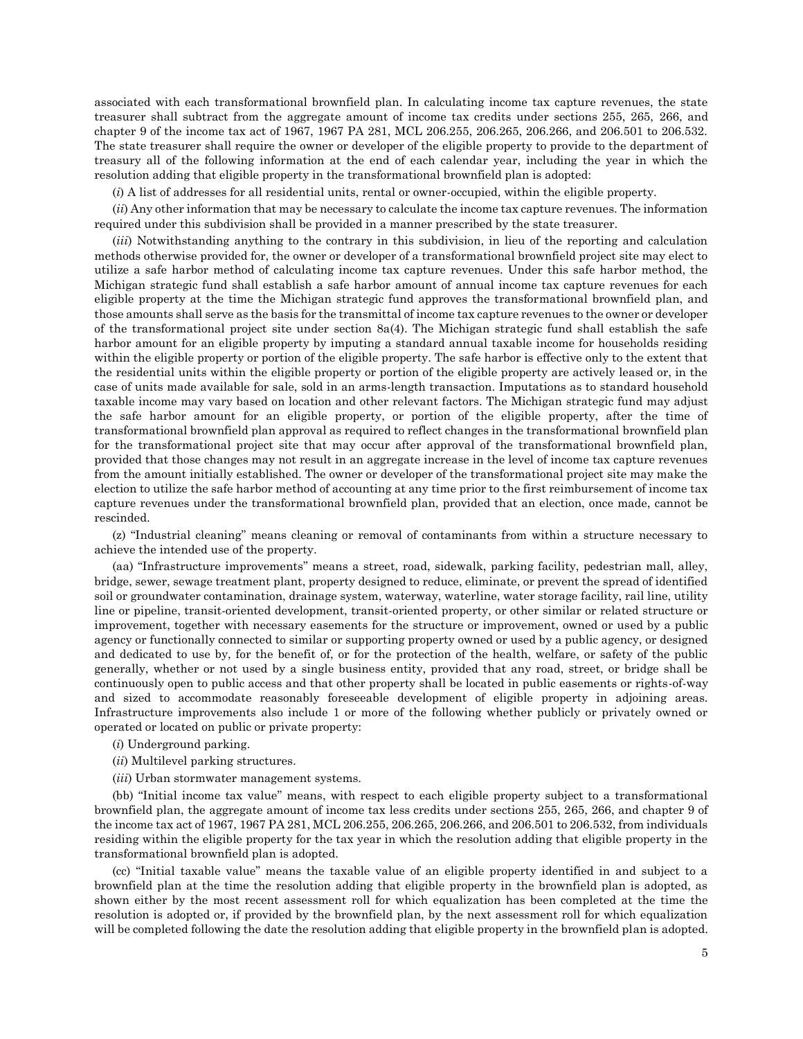associated with each transformational brownfield plan. In calculating income tax capture revenues, the state treasurer shall subtract from the aggregate amount of income tax credits under sections 255, 265, 266, and chapter 9 of the income tax act of 1967, 1967 PA 281, MCL 206.255, 206.265, 206.266, and 206.501 to 206.532. The state treasurer shall require the owner or developer of the eligible property to provide to the department of treasury all of the following information at the end of each calendar year, including the year in which the resolution adding that eligible property in the transformational brownfield plan is adopted:

(*i*) A list of addresses for all residential units, rental or owner-occupied, within the eligible property.

(*ii*) Any other information that may be necessary to calculate the income tax capture revenues. The information required under this subdivision shall be provided in a manner prescribed by the state treasurer.

(*iii*) Notwithstanding anything to the contrary in this subdivision, in lieu of the reporting and calculation methods otherwise provided for, the owner or developer of a transformational brownfield project site may elect to utilize a safe harbor method of calculating income tax capture revenues. Under this safe harbor method, the Michigan strategic fund shall establish a safe harbor amount of annual income tax capture revenues for each eligible property at the time the Michigan strategic fund approves the transformational brownfield plan, and those amounts shall serve as the basis for the transmittal of income tax capture revenues to the owner or developer of the transformational project site under section 8a(4). The Michigan strategic fund shall establish the safe harbor amount for an eligible property by imputing a standard annual taxable income for households residing within the eligible property or portion of the eligible property. The safe harbor is effective only to the extent that the residential units within the eligible property or portion of the eligible property are actively leased or, in the case of units made available for sale, sold in an arms-length transaction. Imputations as to standard household taxable income may vary based on location and other relevant factors. The Michigan strategic fund may adjust the safe harbor amount for an eligible property, or portion of the eligible property, after the time of transformational brownfield plan approval as required to reflect changes in the transformational brownfield plan for the transformational project site that may occur after approval of the transformational brownfield plan, provided that those changes may not result in an aggregate increase in the level of income tax capture revenues from the amount initially established. The owner or developer of the transformational project site may make the election to utilize the safe harbor method of accounting at any time prior to the first reimbursement of income tax capture revenues under the transformational brownfield plan, provided that an election, once made, cannot be rescinded.

(z) "Industrial cleaning" means cleaning or removal of contaminants from within a structure necessary to achieve the intended use of the property.

(aa) "Infrastructure improvements" means a street, road, sidewalk, parking facility, pedestrian mall, alley, bridge, sewer, sewage treatment plant, property designed to reduce, eliminate, or prevent the spread of identified soil or groundwater contamination, drainage system, waterway, waterline, water storage facility, rail line, utility line or pipeline, transit-oriented development, transit-oriented property, or other similar or related structure or improvement, together with necessary easements for the structure or improvement, owned or used by a public agency or functionally connected to similar or supporting property owned or used by a public agency, or designed and dedicated to use by, for the benefit of, or for the protection of the health, welfare, or safety of the public generally, whether or not used by a single business entity, provided that any road, street, or bridge shall be continuously open to public access and that other property shall be located in public easements or rights-of-way and sized to accommodate reasonably foreseeable development of eligible property in adjoining areas. Infrastructure improvements also include 1 or more of the following whether publicly or privately owned or operated or located on public or private property:

- (*i*) Underground parking.
- (*ii*) Multilevel parking structures.
- (*iii*) Urban stormwater management systems.

(bb) "Initial income tax value" means, with respect to each eligible property subject to a transformational brownfield plan, the aggregate amount of income tax less credits under sections 255, 265, 266, and chapter 9 of the income tax act of 1967, 1967 PA 281, MCL 206.255, 206.265, 206.266, and 206.501 to 206.532, from individuals residing within the eligible property for the tax year in which the resolution adding that eligible property in the transformational brownfield plan is adopted.

(cc) "Initial taxable value" means the taxable value of an eligible property identified in and subject to a brownfield plan at the time the resolution adding that eligible property in the brownfield plan is adopted, as shown either by the most recent assessment roll for which equalization has been completed at the time the resolution is adopted or, if provided by the brownfield plan, by the next assessment roll for which equalization will be completed following the date the resolution adding that eligible property in the brownfield plan is adopted.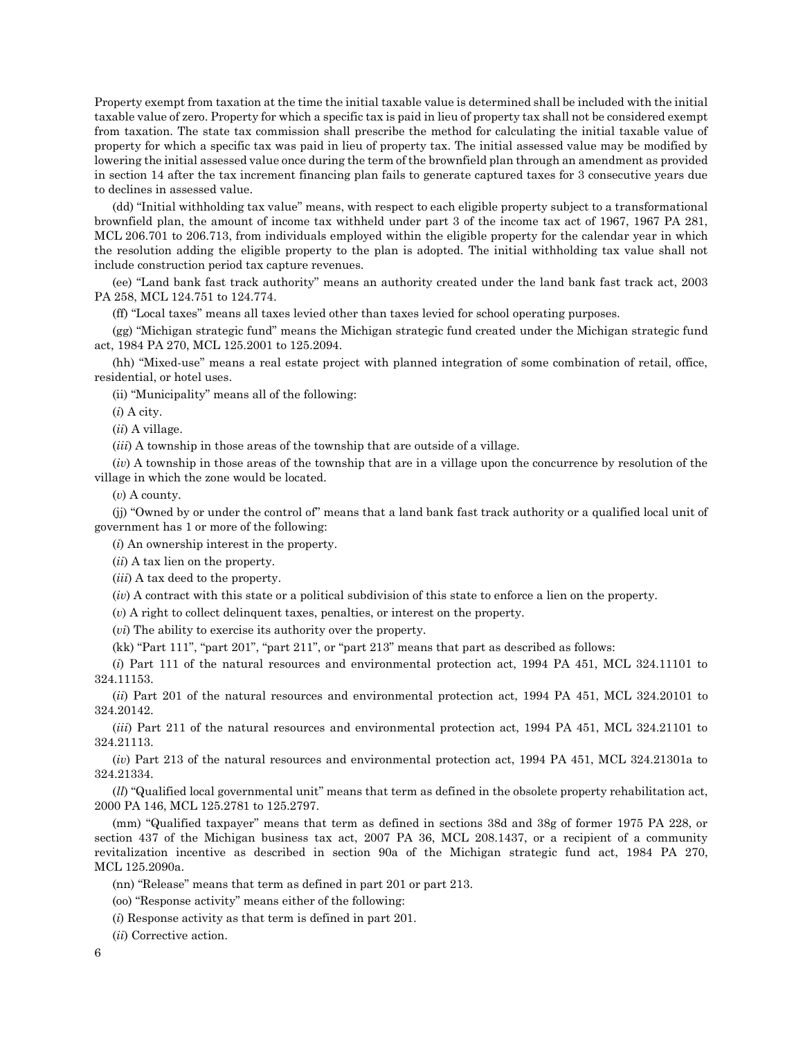Property exempt from taxation at the time the initial taxable value is determined shall be included with the initial taxable value of zero. Property for which a specific tax is paid in lieu of property tax shall not be considered exempt from taxation. The state tax commission shall prescribe the method for calculating the initial taxable value of property for which a specific tax was paid in lieu of property tax. The initial assessed value may be modified by lowering the initial assessed value once during the term of the brownfield plan through an amendment as provided in section 14 after the tax increment financing plan fails to generate captured taxes for 3 consecutive years due to declines in assessed value.

(dd) "Initial withholding tax value" means, with respect to each eligible property subject to a transformational brownfield plan, the amount of income tax withheld under part 3 of the income tax act of 1967, 1967 PA 281, MCL 206.701 to 206.713, from individuals employed within the eligible property for the calendar year in which the resolution adding the eligible property to the plan is adopted. The initial withholding tax value shall not include construction period tax capture revenues.

(ee) "Land bank fast track authority" means an authority created under the land bank fast track act, 2003 PA 258, MCL 124.751 to 124.774.

(ff) "Local taxes" means all taxes levied other than taxes levied for school operating purposes.

(gg) "Michigan strategic fund" means the Michigan strategic fund created under the Michigan strategic fund act, 1984 PA 270, MCL 125.2001 to 125.2094.

(hh) "Mixed-use" means a real estate project with planned integration of some combination of retail, office, residential, or hotel uses.

(ii) "Municipality" means all of the following:

(*i*) A city.

(*ii*) A village.

(*iii*) A township in those areas of the township that are outside of a village.

(*iv*) A township in those areas of the township that are in a village upon the concurrence by resolution of the village in which the zone would be located.

(*v*) A county.

(jj) "Owned by or under the control of" means that a land bank fast track authority or a qualified local unit of government has 1 or more of the following:

(*i*) An ownership interest in the property.

(*ii*) A tax lien on the property.

(*iii*) A tax deed to the property.

(*iv*) A contract with this state or a political subdivision of this state to enforce a lien on the property.

(*v*) A right to collect delinquent taxes, penalties, or interest on the property.

(*vi*) The ability to exercise its authority over the property.

(kk) "Part 111", "part 201", "part 211", or "part 213" means that part as described as follows:

(*i*) Part 111 of the natural resources and environmental protection act, 1994 PA 451, MCL 324.11101 to 324.11153.

(*ii*) Part 201 of the natural resources and environmental protection act, 1994 PA 451, MCL 324.20101 to 324.20142.

(*iii*) Part 211 of the natural resources and environmental protection act, 1994 PA 451, MCL 324.21101 to 324.21113.

(*iv*) Part 213 of the natural resources and environmental protection act, 1994 PA 451, MCL 324.21301a to 324.21334.

(*ll*) "Qualified local governmental unit" means that term as defined in the obsolete property rehabilitation act, 2000 PA 146, MCL 125.2781 to 125.2797.

(mm) "Qualified taxpayer" means that term as defined in sections 38d and 38g of former 1975 PA 228, or section 437 of the Michigan business tax act, 2007 PA 36, MCL 208.1437, or a recipient of a community revitalization incentive as described in section 90a of the Michigan strategic fund act, 1984 PA 270, MCL 125.2090a.

(nn) "Release" means that term as defined in part 201 or part 213.

(oo) "Response activity" means either of the following:

(*i*) Response activity as that term is defined in part 201.

(*ii*) Corrective action.

6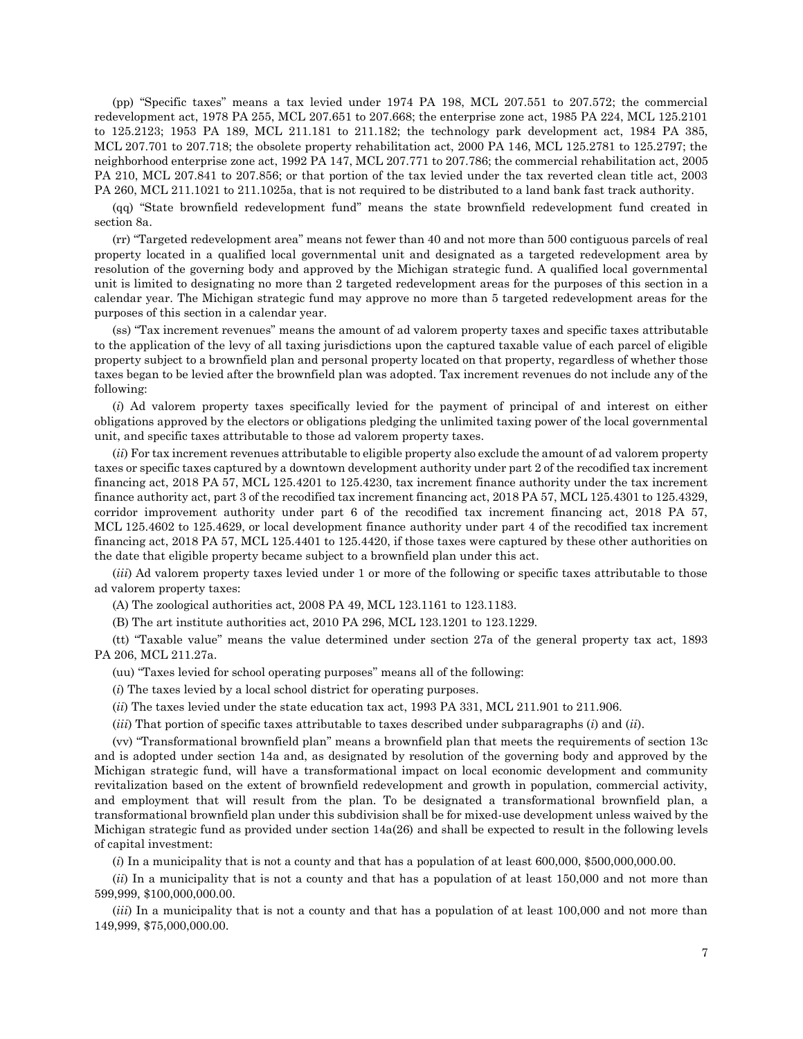(pp) "Specific taxes" means a tax levied under 1974 PA 198, MCL 207.551 to 207.572; the commercial redevelopment act, 1978 PA 255, MCL 207.651 to 207.668; the enterprise zone act, 1985 PA 224, MCL 125.2101 to 125.2123; 1953 PA 189, MCL 211.181 to 211.182; the technology park development act, 1984 PA 385, MCL 207.701 to 207.718; the obsolete property rehabilitation act, 2000 PA 146, MCL 125.2781 to 125.2797; the neighborhood enterprise zone act, 1992 PA 147, MCL 207.771 to 207.786; the commercial rehabilitation act, 2005 PA 210, MCL 207.841 to 207.856; or that portion of the tax levied under the tax reverted clean title act, 2003 PA 260, MCL 211.1021 to 211.1025a, that is not required to be distributed to a land bank fast track authority.

(qq) "State brownfield redevelopment fund" means the state brownfield redevelopment fund created in section 8a.

(rr) "Targeted redevelopment area" means not fewer than 40 and not more than 500 contiguous parcels of real property located in a qualified local governmental unit and designated as a targeted redevelopment area by resolution of the governing body and approved by the Michigan strategic fund. A qualified local governmental unit is limited to designating no more than 2 targeted redevelopment areas for the purposes of this section in a calendar year. The Michigan strategic fund may approve no more than 5 targeted redevelopment areas for the purposes of this section in a calendar year.

(ss) "Tax increment revenues" means the amount of ad valorem property taxes and specific taxes attributable to the application of the levy of all taxing jurisdictions upon the captured taxable value of each parcel of eligible property subject to a brownfield plan and personal property located on that property, regardless of whether those taxes began to be levied after the brownfield plan was adopted. Tax increment revenues do not include any of the following:

(*i*) Ad valorem property taxes specifically levied for the payment of principal of and interest on either obligations approved by the electors or obligations pledging the unlimited taxing power of the local governmental unit, and specific taxes attributable to those ad valorem property taxes.

(*ii*) For tax increment revenues attributable to eligible property also exclude the amount of ad valorem property taxes or specific taxes captured by a downtown development authority under part 2 of the recodified tax increment financing act, 2018 PA 57, MCL 125.4201 to 125.4230, tax increment finance authority under the tax increment finance authority act, part 3 of the recodified tax increment financing act, 2018 PA 57, MCL 125.4301 to 125.4329, corridor improvement authority under part 6 of the recodified tax increment financing act, 2018 PA 57, MCL 125.4602 to 125.4629, or local development finance authority under part 4 of the recodified tax increment financing act, 2018 PA 57, MCL 125.4401 to 125.4420, if those taxes were captured by these other authorities on the date that eligible property became subject to a brownfield plan under this act.

(*iii*) Ad valorem property taxes levied under 1 or more of the following or specific taxes attributable to those ad valorem property taxes:

(A) The zoological authorities act, 2008 PA 49, MCL 123.1161 to 123.1183.

(B) The art institute authorities act, 2010 PA 296, MCL 123.1201 to 123.1229.

(tt) "Taxable value" means the value determined under section 27a of the general property tax act, 1893 PA 206, MCL 211.27a.

(uu) "Taxes levied for school operating purposes" means all of the following:

(*i*) The taxes levied by a local school district for operating purposes.

(*ii*) The taxes levied under the state education tax act, 1993 PA 331, MCL 211.901 to 211.906.

(*iii*) That portion of specific taxes attributable to taxes described under subparagraphs (*i*) and (*ii*).

(vv) "Transformational brownfield plan" means a brownfield plan that meets the requirements of section 13c and is adopted under section 14a and, as designated by resolution of the governing body and approved by the Michigan strategic fund, will have a transformational impact on local economic development and community revitalization based on the extent of brownfield redevelopment and growth in population, commercial activity, and employment that will result from the plan. To be designated a transformational brownfield plan, a transformational brownfield plan under this subdivision shall be for mixed-use development unless waived by the Michigan strategic fund as provided under section 14a(26) and shall be expected to result in the following levels of capital investment:

(*i*) In a municipality that is not a county and that has a population of at least 600,000, \$500,000,000.00.

(*ii*) In a municipality that is not a county and that has a population of at least 150,000 and not more than 599,999, \$100,000,000.00.

(*iii*) In a municipality that is not a county and that has a population of at least 100,000 and not more than 149,999, \$75,000,000.00.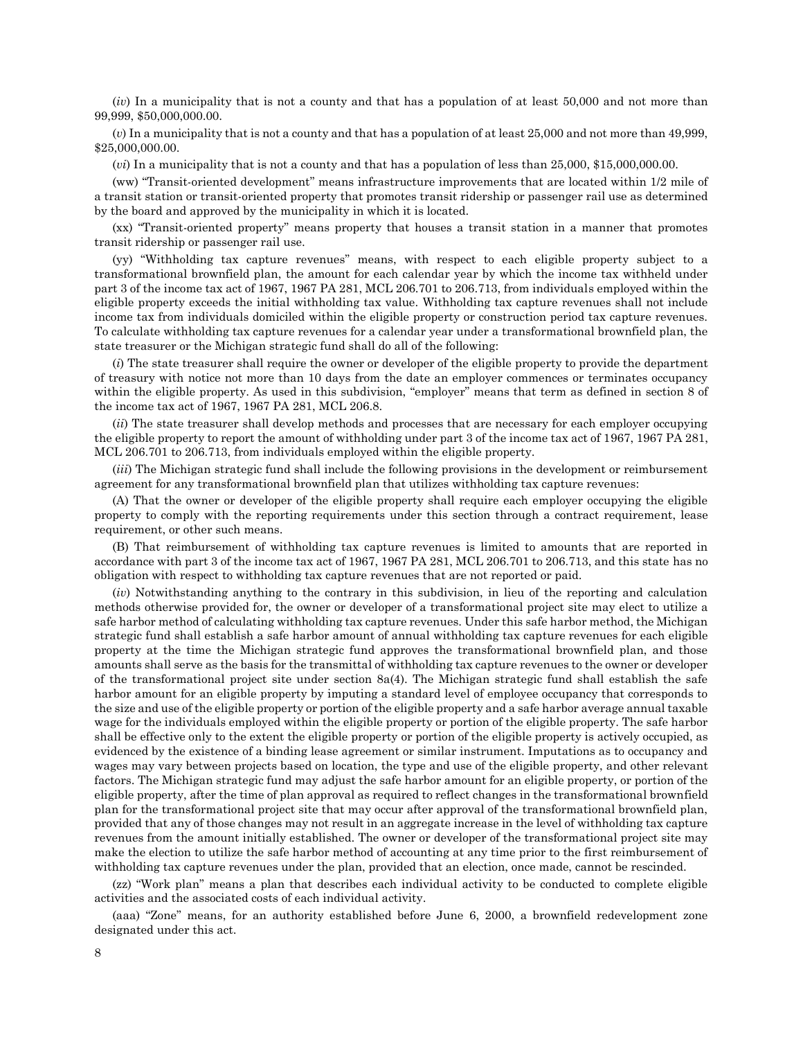(*iv*) In a municipality that is not a county and that has a population of at least 50,000 and not more than 99,999, \$50,000,000.00.

(*v*) In a municipality that is not a county and that has a population of at least 25,000 and not more than 49,999, \$25,000,000.00.

(*vi*) In a municipality that is not a county and that has a population of less than 25,000, \$15,000,000.00.

(ww) "Transit-oriented development" means infrastructure improvements that are located within 1/2 mile of a transit station or transit-oriented property that promotes transit ridership or passenger rail use as determined by the board and approved by the municipality in which it is located.

(xx) "Transit-oriented property" means property that houses a transit station in a manner that promotes transit ridership or passenger rail use.

(yy) "Withholding tax capture revenues" means, with respect to each eligible property subject to a transformational brownfield plan, the amount for each calendar year by which the income tax withheld under part 3 of the income tax act of 1967, 1967 PA 281, MCL 206.701 to 206.713, from individuals employed within the eligible property exceeds the initial withholding tax value. Withholding tax capture revenues shall not include income tax from individuals domiciled within the eligible property or construction period tax capture revenues. To calculate withholding tax capture revenues for a calendar year under a transformational brownfield plan, the state treasurer or the Michigan strategic fund shall do all of the following:

(*i*) The state treasurer shall require the owner or developer of the eligible property to provide the department of treasury with notice not more than 10 days from the date an employer commences or terminates occupancy within the eligible property. As used in this subdivision, "employer" means that term as defined in section 8 of the income tax act of 1967, 1967 PA 281, MCL 206.8.

(*ii*) The state treasurer shall develop methods and processes that are necessary for each employer occupying the eligible property to report the amount of withholding under part 3 of the income tax act of 1967, 1967 PA 281, MCL 206.701 to 206.713, from individuals employed within the eligible property.

(*iii*) The Michigan strategic fund shall include the following provisions in the development or reimbursement agreement for any transformational brownfield plan that utilizes withholding tax capture revenues:

(A) That the owner or developer of the eligible property shall require each employer occupying the eligible property to comply with the reporting requirements under this section through a contract requirement, lease requirement, or other such means.

(B) That reimbursement of withholding tax capture revenues is limited to amounts that are reported in accordance with part 3 of the income tax act of 1967, 1967 PA 281, MCL 206.701 to 206.713, and this state has no obligation with respect to withholding tax capture revenues that are not reported or paid.

(*iv*) Notwithstanding anything to the contrary in this subdivision, in lieu of the reporting and calculation methods otherwise provided for, the owner or developer of a transformational project site may elect to utilize a safe harbor method of calculating withholding tax capture revenues. Under this safe harbor method, the Michigan strategic fund shall establish a safe harbor amount of annual withholding tax capture revenues for each eligible property at the time the Michigan strategic fund approves the transformational brownfield plan, and those amounts shall serve as the basis for the transmittal of withholding tax capture revenues to the owner or developer of the transformational project site under section 8a(4). The Michigan strategic fund shall establish the safe harbor amount for an eligible property by imputing a standard level of employee occupancy that corresponds to the size and use of the eligible property or portion of the eligible property and a safe harbor average annual taxable wage for the individuals employed within the eligible property or portion of the eligible property. The safe harbor shall be effective only to the extent the eligible property or portion of the eligible property is actively occupied, as evidenced by the existence of a binding lease agreement or similar instrument. Imputations as to occupancy and wages may vary between projects based on location, the type and use of the eligible property, and other relevant factors. The Michigan strategic fund may adjust the safe harbor amount for an eligible property, or portion of the eligible property, after the time of plan approval as required to reflect changes in the transformational brownfield plan for the transformational project site that may occur after approval of the transformational brownfield plan, provided that any of those changes may not result in an aggregate increase in the level of withholding tax capture revenues from the amount initially established. The owner or developer of the transformational project site may make the election to utilize the safe harbor method of accounting at any time prior to the first reimbursement of withholding tax capture revenues under the plan, provided that an election, once made, cannot be rescinded.

(zz) "Work plan" means a plan that describes each individual activity to be conducted to complete eligible activities and the associated costs of each individual activity.

(aaa) "Zone" means, for an authority established before June 6, 2000, a brownfield redevelopment zone designated under this act.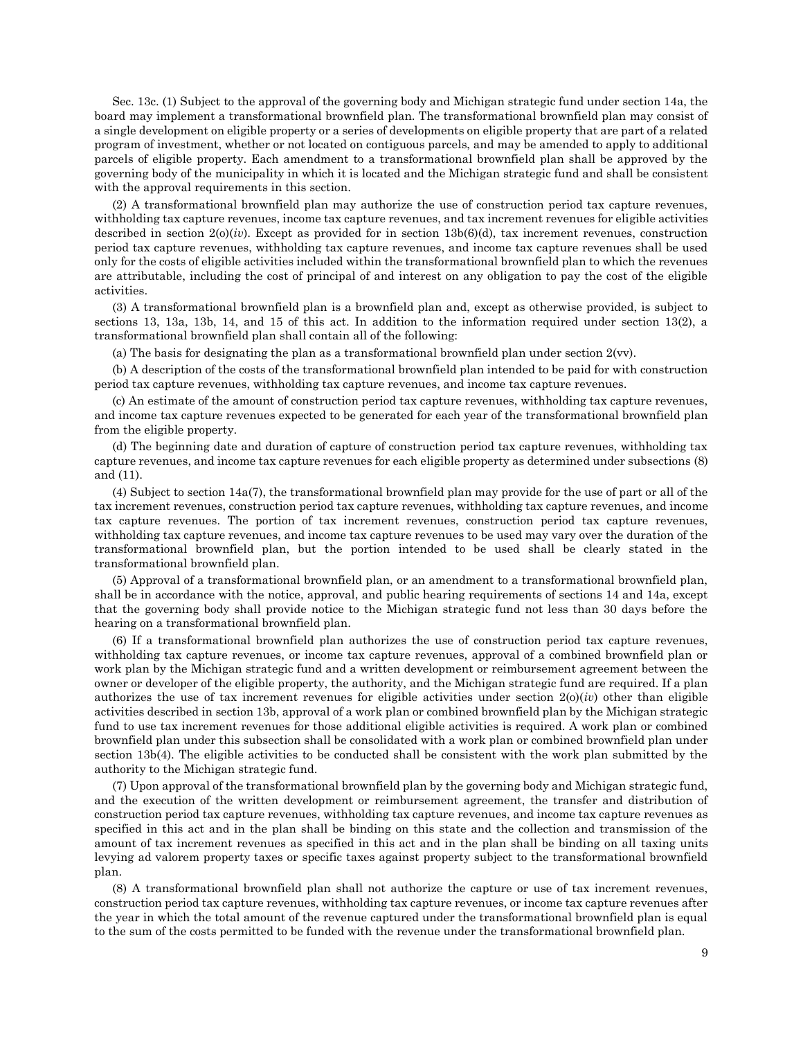Sec. 13c. (1) Subject to the approval of the governing body and Michigan strategic fund under section 14a, the board may implement a transformational brownfield plan. The transformational brownfield plan may consist of a single development on eligible property or a series of developments on eligible property that are part of a related program of investment, whether or not located on contiguous parcels, and may be amended to apply to additional parcels of eligible property. Each amendment to a transformational brownfield plan shall be approved by the governing body of the municipality in which it is located and the Michigan strategic fund and shall be consistent with the approval requirements in this section.

(2) A transformational brownfield plan may authorize the use of construction period tax capture revenues, withholding tax capture revenues, income tax capture revenues, and tax increment revenues for eligible activities described in section  $2(0)(iv)$ . Except as provided for in section  $13b(6)(d)$ , tax increment revenues, construction period tax capture revenues, withholding tax capture revenues, and income tax capture revenues shall be used only for the costs of eligible activities included within the transformational brownfield plan to which the revenues are attributable, including the cost of principal of and interest on any obligation to pay the cost of the eligible activities.

(3) A transformational brownfield plan is a brownfield plan and, except as otherwise provided, is subject to sections 13, 13a, 13b, 14, and 15 of this act. In addition to the information required under section 13(2), a transformational brownfield plan shall contain all of the following:

(a) The basis for designating the plan as a transformational brownfield plan under section 2(vv).

(b) A description of the costs of the transformational brownfield plan intended to be paid for with construction period tax capture revenues, withholding tax capture revenues, and income tax capture revenues.

(c) An estimate of the amount of construction period tax capture revenues, withholding tax capture revenues, and income tax capture revenues expected to be generated for each year of the transformational brownfield plan from the eligible property.

(d) The beginning date and duration of capture of construction period tax capture revenues, withholding tax capture revenues, and income tax capture revenues for each eligible property as determined under subsections (8) and (11).

(4) Subject to section 14a(7), the transformational brownfield plan may provide for the use of part or all of the tax increment revenues, construction period tax capture revenues, withholding tax capture revenues, and income tax capture revenues. The portion of tax increment revenues, construction period tax capture revenues, withholding tax capture revenues, and income tax capture revenues to be used may vary over the duration of the transformational brownfield plan, but the portion intended to be used shall be clearly stated in the transformational brownfield plan.

(5) Approval of a transformational brownfield plan, or an amendment to a transformational brownfield plan, shall be in accordance with the notice, approval, and public hearing requirements of sections 14 and 14a, except that the governing body shall provide notice to the Michigan strategic fund not less than 30 days before the hearing on a transformational brownfield plan.

(6) If a transformational brownfield plan authorizes the use of construction period tax capture revenues, withholding tax capture revenues, or income tax capture revenues, approval of a combined brownfield plan or work plan by the Michigan strategic fund and a written development or reimbursement agreement between the owner or developer of the eligible property, the authority, and the Michigan strategic fund are required. If a plan authorizes the use of tax increment revenues for eligible activities under section  $2(0)(iv)$  other than eligible activities described in section 13b, approval of a work plan or combined brownfield plan by the Michigan strategic fund to use tax increment revenues for those additional eligible activities is required. A work plan or combined brownfield plan under this subsection shall be consolidated with a work plan or combined brownfield plan under section 13b(4). The eligible activities to be conducted shall be consistent with the work plan submitted by the authority to the Michigan strategic fund.

(7) Upon approval of the transformational brownfield plan by the governing body and Michigan strategic fund, and the execution of the written development or reimbursement agreement, the transfer and distribution of construction period tax capture revenues, withholding tax capture revenues, and income tax capture revenues as specified in this act and in the plan shall be binding on this state and the collection and transmission of the amount of tax increment revenues as specified in this act and in the plan shall be binding on all taxing units levying ad valorem property taxes or specific taxes against property subject to the transformational brownfield plan.

(8) A transformational brownfield plan shall not authorize the capture or use of tax increment revenues, construction period tax capture revenues, withholding tax capture revenues, or income tax capture revenues after the year in which the total amount of the revenue captured under the transformational brownfield plan is equal to the sum of the costs permitted to be funded with the revenue under the transformational brownfield plan.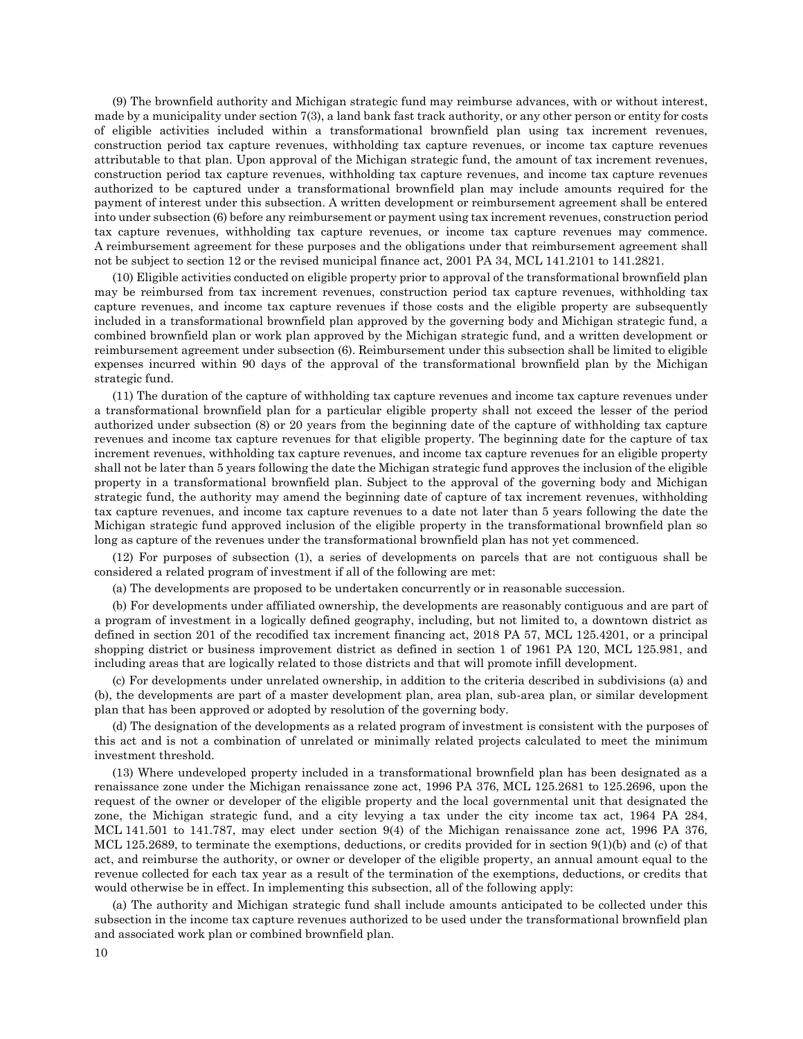(9) The brownfield authority and Michigan strategic fund may reimburse advances, with or without interest, made by a municipality under section 7(3), a land bank fast track authority, or any other person or entity for costs of eligible activities included within a transformational brownfield plan using tax increment revenues, construction period tax capture revenues, withholding tax capture revenues, or income tax capture revenues attributable to that plan. Upon approval of the Michigan strategic fund, the amount of tax increment revenues, construction period tax capture revenues, withholding tax capture revenues, and income tax capture revenues authorized to be captured under a transformational brownfield plan may include amounts required for the payment of interest under this subsection. A written development or reimbursement agreement shall be entered into under subsection (6) before any reimbursement or payment using tax increment revenues, construction period tax capture revenues, withholding tax capture revenues, or income tax capture revenues may commence. A reimbursement agreement for these purposes and the obligations under that reimbursement agreement shall not be subject to section 12 or the revised municipal finance act, 2001 PA 34, MCL 141.2101 to 141.2821.

(10) Eligible activities conducted on eligible property prior to approval of the transformational brownfield plan may be reimbursed from tax increment revenues, construction period tax capture revenues, withholding tax capture revenues, and income tax capture revenues if those costs and the eligible property are subsequently included in a transformational brownfield plan approved by the governing body and Michigan strategic fund, a combined brownfield plan or work plan approved by the Michigan strategic fund, and a written development or reimbursement agreement under subsection (6). Reimbursement under this subsection shall be limited to eligible expenses incurred within 90 days of the approval of the transformational brownfield plan by the Michigan strategic fund.

(11) The duration of the capture of withholding tax capture revenues and income tax capture revenues under a transformational brownfield plan for a particular eligible property shall not exceed the lesser of the period authorized under subsection (8) or 20 years from the beginning date of the capture of withholding tax capture revenues and income tax capture revenues for that eligible property. The beginning date for the capture of tax increment revenues, withholding tax capture revenues, and income tax capture revenues for an eligible property shall not be later than 5 years following the date the Michigan strategic fund approves the inclusion of the eligible property in a transformational brownfield plan. Subject to the approval of the governing body and Michigan strategic fund, the authority may amend the beginning date of capture of tax increment revenues, withholding tax capture revenues, and income tax capture revenues to a date not later than 5 years following the date the Michigan strategic fund approved inclusion of the eligible property in the transformational brownfield plan so long as capture of the revenues under the transformational brownfield plan has not yet commenced.

(12) For purposes of subsection (1), a series of developments on parcels that are not contiguous shall be considered a related program of investment if all of the following are met:

(a) The developments are proposed to be undertaken concurrently or in reasonable succession.

(b) For developments under affiliated ownership, the developments are reasonably contiguous and are part of a program of investment in a logically defined geography, including, but not limited to, a downtown district as defined in section 201 of the recodified tax increment financing act, 2018 PA 57, MCL 125.4201, or a principal shopping district or business improvement district as defined in section 1 of 1961 PA 120, MCL 125.981, and including areas that are logically related to those districts and that will promote infill development.

(c) For developments under unrelated ownership, in addition to the criteria described in subdivisions (a) and (b), the developments are part of a master development plan, area plan, sub-area plan, or similar development plan that has been approved or adopted by resolution of the governing body.

(d) The designation of the developments as a related program of investment is consistent with the purposes of this act and is not a combination of unrelated or minimally related projects calculated to meet the minimum investment threshold.

(13) Where undeveloped property included in a transformational brownfield plan has been designated as a renaissance zone under the Michigan renaissance zone act, 1996 PA 376, MCL 125.2681 to 125.2696, upon the request of the owner or developer of the eligible property and the local governmental unit that designated the zone, the Michigan strategic fund, and a city levying a tax under the city income tax act, 1964 PA 284, MCL 141.501 to 141.787, may elect under section 9(4) of the Michigan renaissance zone act, 1996 PA 376, MCL 125.2689, to terminate the exemptions, deductions, or credits provided for in section 9(1)(b) and (c) of that act, and reimburse the authority, or owner or developer of the eligible property, an annual amount equal to the revenue collected for each tax year as a result of the termination of the exemptions, deductions, or credits that would otherwise be in effect. In implementing this subsection, all of the following apply:

(a) The authority and Michigan strategic fund shall include amounts anticipated to be collected under this subsection in the income tax capture revenues authorized to be used under the transformational brownfield plan and associated work plan or combined brownfield plan.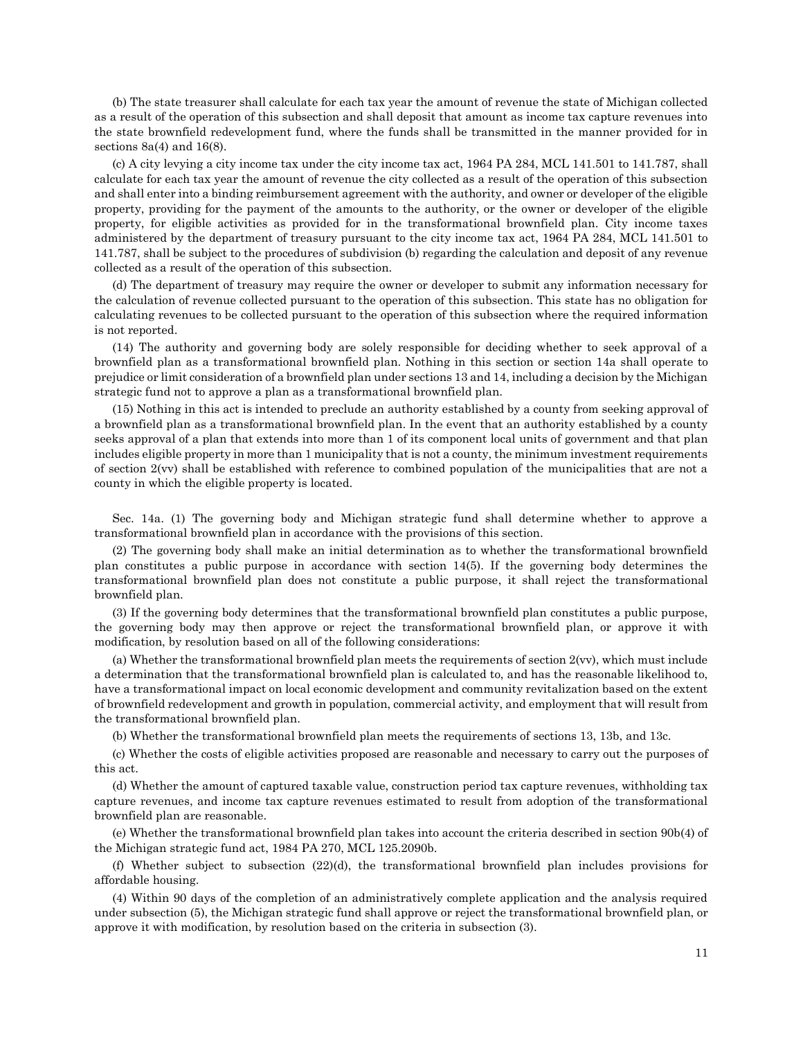(b) The state treasurer shall calculate for each tax year the amount of revenue the state of Michigan collected as a result of the operation of this subsection and shall deposit that amount as income tax capture revenues into the state brownfield redevelopment fund, where the funds shall be transmitted in the manner provided for in sections  $8a(4)$  and  $16(8)$ .

(c) A city levying a city income tax under the city income tax act, 1964 PA 284, MCL 141.501 to 141.787, shall calculate for each tax year the amount of revenue the city collected as a result of the operation of this subsection and shall enter into a binding reimbursement agreement with the authority, and owner or developer of the eligible property, providing for the payment of the amounts to the authority, or the owner or developer of the eligible property, for eligible activities as provided for in the transformational brownfield plan. City income taxes administered by the department of treasury pursuant to the city income tax act, 1964 PA 284, MCL 141.501 to 141.787, shall be subject to the procedures of subdivision (b) regarding the calculation and deposit of any revenue collected as a result of the operation of this subsection.

(d) The department of treasury may require the owner or developer to submit any information necessary for the calculation of revenue collected pursuant to the operation of this subsection. This state has no obligation for calculating revenues to be collected pursuant to the operation of this subsection where the required information is not reported.

(14) The authority and governing body are solely responsible for deciding whether to seek approval of a brownfield plan as a transformational brownfield plan. Nothing in this section or section 14a shall operate to prejudice or limit consideration of a brownfield plan under sections 13 and 14, including a decision by the Michigan strategic fund not to approve a plan as a transformational brownfield plan.

(15) Nothing in this act is intended to preclude an authority established by a county from seeking approval of a brownfield plan as a transformational brownfield plan. In the event that an authority established by a county seeks approval of a plan that extends into more than 1 of its component local units of government and that plan includes eligible property in more than 1 municipality that is not a county, the minimum investment requirements of section 2(vv) shall be established with reference to combined population of the municipalities that are not a county in which the eligible property is located.

Sec. 14a. (1) The governing body and Michigan strategic fund shall determine whether to approve a transformational brownfield plan in accordance with the provisions of this section.

(2) The governing body shall make an initial determination as to whether the transformational brownfield plan constitutes a public purpose in accordance with section 14(5). If the governing body determines the transformational brownfield plan does not constitute a public purpose, it shall reject the transformational brownfield plan.

(3) If the governing body determines that the transformational brownfield plan constitutes a public purpose, the governing body may then approve or reject the transformational brownfield plan, or approve it with modification, by resolution based on all of the following considerations:

(a) Whether the transformational brownfield plan meets the requirements of section 2(vv), which must include a determination that the transformational brownfield plan is calculated to, and has the reasonable likelihood to, have a transformational impact on local economic development and community revitalization based on the extent of brownfield redevelopment and growth in population, commercial activity, and employment that will result from the transformational brownfield plan.

(b) Whether the transformational brownfield plan meets the requirements of sections 13, 13b, and 13c.

(c) Whether the costs of eligible activities proposed are reasonable and necessary to carry out the purposes of this act.

(d) Whether the amount of captured taxable value, construction period tax capture revenues, withholding tax capture revenues, and income tax capture revenues estimated to result from adoption of the transformational brownfield plan are reasonable.

(e) Whether the transformational brownfield plan takes into account the criteria described in section 90b(4) of the Michigan strategic fund act, 1984 PA 270, MCL 125.2090b.

(f) Whether subject to subsection (22)(d), the transformational brownfield plan includes provisions for affordable housing.

(4) Within 90 days of the completion of an administratively complete application and the analysis required under subsection (5), the Michigan strategic fund shall approve or reject the transformational brownfield plan, or approve it with modification, by resolution based on the criteria in subsection (3).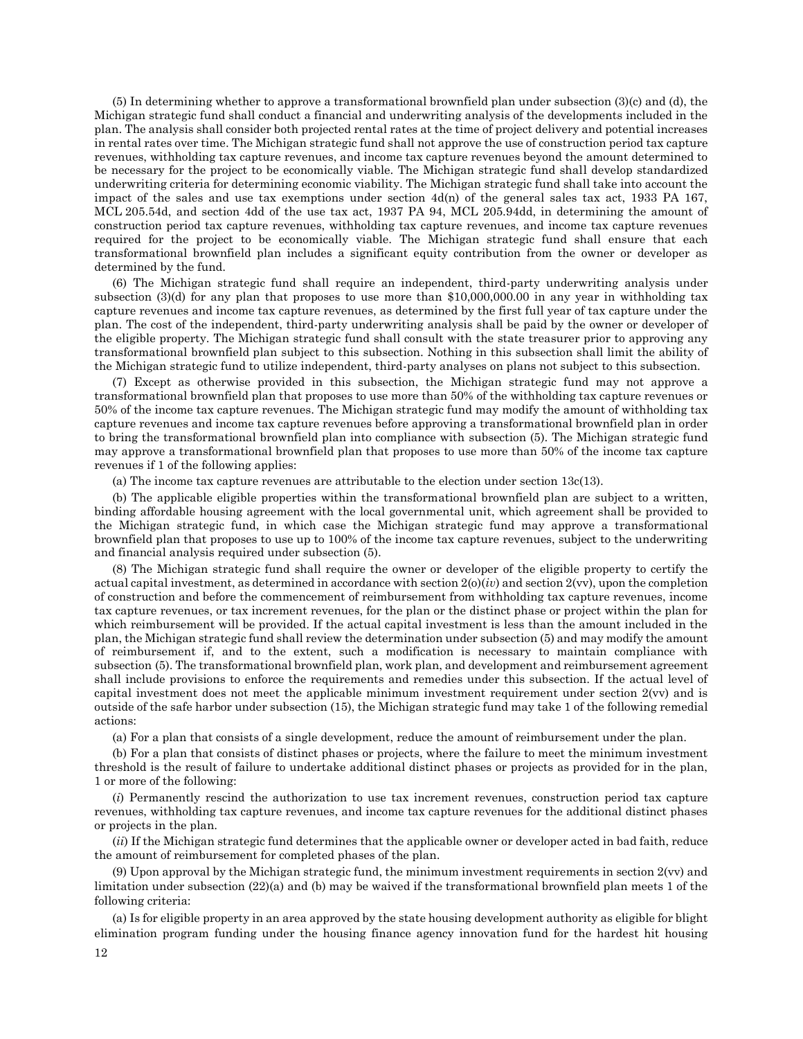(5) In determining whether to approve a transformational brownfield plan under subsection (3)(c) and (d), the Michigan strategic fund shall conduct a financial and underwriting analysis of the developments included in the plan. The analysis shall consider both projected rental rates at the time of project delivery and potential increases in rental rates over time. The Michigan strategic fund shall not approve the use of construction period tax capture revenues, withholding tax capture revenues, and income tax capture revenues beyond the amount determined to be necessary for the project to be economically viable. The Michigan strategic fund shall develop standardized underwriting criteria for determining economic viability. The Michigan strategic fund shall take into account the impact of the sales and use tax exemptions under section 4d(n) of the general sales tax act, 1933 PA 167, MCL 205.54d, and section 4dd of the use tax act, 1937 PA 94, MCL 205.94dd, in determining the amount of construction period tax capture revenues, withholding tax capture revenues, and income tax capture revenues required for the project to be economically viable. The Michigan strategic fund shall ensure that each transformational brownfield plan includes a significant equity contribution from the owner or developer as determined by the fund.

(6) The Michigan strategic fund shall require an independent, third-party underwriting analysis under subsection (3)(d) for any plan that proposes to use more than \$10,000,000.00 in any year in withholding tax capture revenues and income tax capture revenues, as determined by the first full year of tax capture under the plan. The cost of the independent, third-party underwriting analysis shall be paid by the owner or developer of the eligible property. The Michigan strategic fund shall consult with the state treasurer prior to approving any transformational brownfield plan subject to this subsection. Nothing in this subsection shall limit the ability of the Michigan strategic fund to utilize independent, third-party analyses on plans not subject to this subsection.

(7) Except as otherwise provided in this subsection, the Michigan strategic fund may not approve a transformational brownfield plan that proposes to use more than 50% of the withholding tax capture revenues or 50% of the income tax capture revenues. The Michigan strategic fund may modify the amount of withholding tax capture revenues and income tax capture revenues before approving a transformational brownfield plan in order to bring the transformational brownfield plan into compliance with subsection (5). The Michigan strategic fund may approve a transformational brownfield plan that proposes to use more than 50% of the income tax capture revenues if 1 of the following applies:

(a) The income tax capture revenues are attributable to the election under section 13c(13).

(b) The applicable eligible properties within the transformational brownfield plan are subject to a written, binding affordable housing agreement with the local governmental unit, which agreement shall be provided to the Michigan strategic fund, in which case the Michigan strategic fund may approve a transformational brownfield plan that proposes to use up to 100% of the income tax capture revenues, subject to the underwriting and financial analysis required under subsection (5).

(8) The Michigan strategic fund shall require the owner or developer of the eligible property to certify the actual capital investment, as determined in accordance with section 2(o)(*iv*) and section 2(vv), upon the completion of construction and before the commencement of reimbursement from withholding tax capture revenues, income tax capture revenues, or tax increment revenues, for the plan or the distinct phase or project within the plan for which reimbursement will be provided. If the actual capital investment is less than the amount included in the plan, the Michigan strategic fund shall review the determination under subsection (5) and may modify the amount of reimbursement if, and to the extent, such a modification is necessary to maintain compliance with subsection (5). The transformational brownfield plan, work plan, and development and reimbursement agreement shall include provisions to enforce the requirements and remedies under this subsection. If the actual level of capital investment does not meet the applicable minimum investment requirement under section 2(vv) and is outside of the safe harbor under subsection (15), the Michigan strategic fund may take 1 of the following remedial actions:

(a) For a plan that consists of a single development, reduce the amount of reimbursement under the plan.

(b) For a plan that consists of distinct phases or projects, where the failure to meet the minimum investment threshold is the result of failure to undertake additional distinct phases or projects as provided for in the plan, 1 or more of the following:

(*i*) Permanently rescind the authorization to use tax increment revenues, construction period tax capture revenues, withholding tax capture revenues, and income tax capture revenues for the additional distinct phases or projects in the plan.

(*ii*) If the Michigan strategic fund determines that the applicable owner or developer acted in bad faith, reduce the amount of reimbursement for completed phases of the plan.

(9) Upon approval by the Michigan strategic fund, the minimum investment requirements in section 2(vv) and limitation under subsection (22)(a) and (b) may be waived if the transformational brownfield plan meets 1 of the following criteria:

(a) Is for eligible property in an area approved by the state housing development authority as eligible for blight elimination program funding under the housing finance agency innovation fund for the hardest hit housing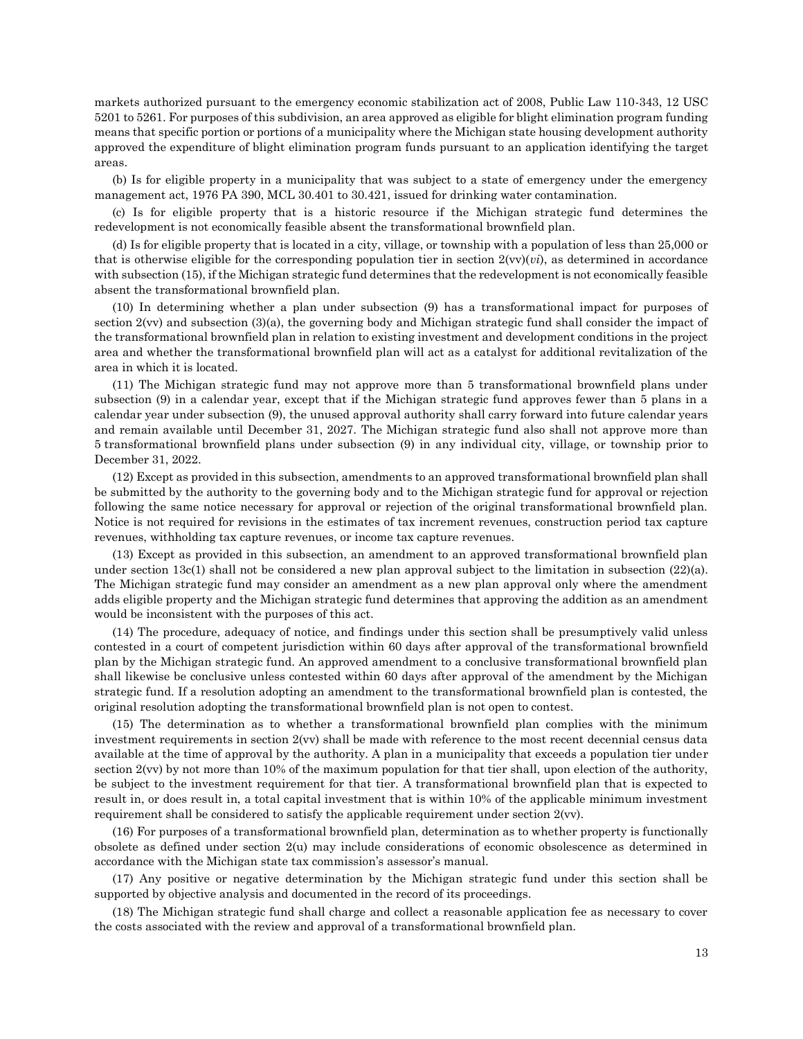markets authorized pursuant to the emergency economic stabilization act of 2008, Public Law 110-343, 12 USC 5201 to 5261. For purposes of this subdivision, an area approved as eligible for blight elimination program funding means that specific portion or portions of a municipality where the Michigan state housing development authority approved the expenditure of blight elimination program funds pursuant to an application identifying the target areas.

(b) Is for eligible property in a municipality that was subject to a state of emergency under the emergency management act, 1976 PA 390, MCL 30.401 to 30.421, issued for drinking water contamination.

(c) Is for eligible property that is a historic resource if the Michigan strategic fund determines the redevelopment is not economically feasible absent the transformational brownfield plan.

(d) Is for eligible property that is located in a city, village, or township with a population of less than 25,000 or that is otherwise eligible for the corresponding population tier in section 2(vv)(*vi*), as determined in accordance with subsection (15), if the Michigan strategic fund determines that the redevelopment is not economically feasible absent the transformational brownfield plan.

(10) In determining whether a plan under subsection (9) has a transformational impact for purposes of section 2(vv) and subsection (3)(a), the governing body and Michigan strategic fund shall consider the impact of the transformational brownfield plan in relation to existing investment and development conditions in the project area and whether the transformational brownfield plan will act as a catalyst for additional revitalization of the area in which it is located.

(11) The Michigan strategic fund may not approve more than 5 transformational brownfield plans under subsection (9) in a calendar year, except that if the Michigan strategic fund approves fewer than 5 plans in a calendar year under subsection (9), the unused approval authority shall carry forward into future calendar years and remain available until December 31, 2027. The Michigan strategic fund also shall not approve more than 5 transformational brownfield plans under subsection (9) in any individual city, village, or township prior to December 31, 2022.

(12) Except as provided in this subsection, amendments to an approved transformational brownfield plan shall be submitted by the authority to the governing body and to the Michigan strategic fund for approval or rejection following the same notice necessary for approval or rejection of the original transformational brownfield plan. Notice is not required for revisions in the estimates of tax increment revenues, construction period tax capture revenues, withholding tax capture revenues, or income tax capture revenues.

(13) Except as provided in this subsection, an amendment to an approved transformational brownfield plan under section 13c(1) shall not be considered a new plan approval subject to the limitation in subsection (22)(a). The Michigan strategic fund may consider an amendment as a new plan approval only where the amendment adds eligible property and the Michigan strategic fund determines that approving the addition as an amendment would be inconsistent with the purposes of this act.

(14) The procedure, adequacy of notice, and findings under this section shall be presumptively valid unless contested in a court of competent jurisdiction within 60 days after approval of the transformational brownfield plan by the Michigan strategic fund. An approved amendment to a conclusive transformational brownfield plan shall likewise be conclusive unless contested within 60 days after approval of the amendment by the Michigan strategic fund. If a resolution adopting an amendment to the transformational brownfield plan is contested, the original resolution adopting the transformational brownfield plan is not open to contest.

(15) The determination as to whether a transformational brownfield plan complies with the minimum investment requirements in section 2(vv) shall be made with reference to the most recent decennial census data available at the time of approval by the authority. A plan in a municipality that exceeds a population tier under section 2(vv) by not more than 10% of the maximum population for that tier shall, upon election of the authority, be subject to the investment requirement for that tier. A transformational brownfield plan that is expected to result in, or does result in, a total capital investment that is within 10% of the applicable minimum investment requirement shall be considered to satisfy the applicable requirement under section 2(vv).

(16) For purposes of a transformational brownfield plan, determination as to whether property is functionally obsolete as defined under section 2(u) may include considerations of economic obsolescence as determined in accordance with the Michigan state tax commission's assessor's manual.

(17) Any positive or negative determination by the Michigan strategic fund under this section shall be supported by objective analysis and documented in the record of its proceedings.

(18) The Michigan strategic fund shall charge and collect a reasonable application fee as necessary to cover the costs associated with the review and approval of a transformational brownfield plan.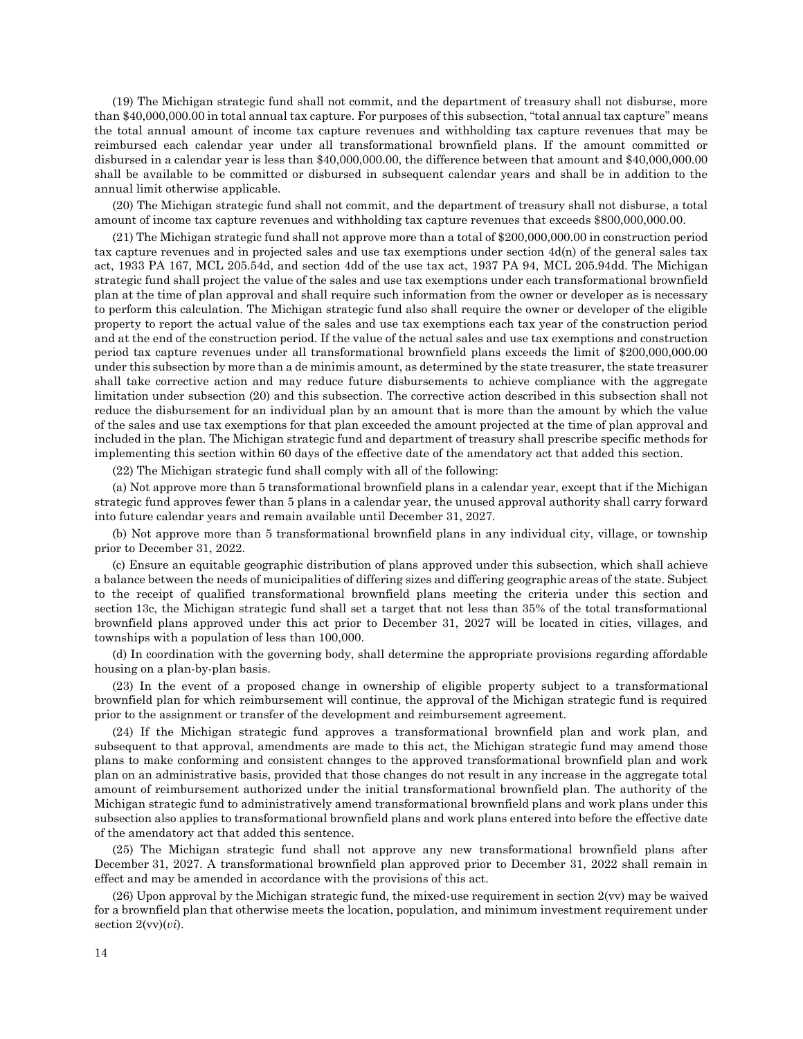(19) The Michigan strategic fund shall not commit, and the department of treasury shall not disburse, more than \$40,000,000.00 in total annual tax capture. For purposes of this subsection, "total annual tax capture" means the total annual amount of income tax capture revenues and withholding tax capture revenues that may be reimbursed each calendar year under all transformational brownfield plans. If the amount committed or disbursed in a calendar year is less than \$40,000,000.00, the difference between that amount and \$40,000,000.00 shall be available to be committed or disbursed in subsequent calendar years and shall be in addition to the annual limit otherwise applicable.

(20) The Michigan strategic fund shall not commit, and the department of treasury shall not disburse, a total amount of income tax capture revenues and withholding tax capture revenues that exceeds \$800,000,000.00.

(21) The Michigan strategic fund shall not approve more than a total of \$200,000,000.00 in construction period tax capture revenues and in projected sales and use tax exemptions under section  $4d(n)$  of the general sales tax act, 1933 PA 167, MCL 205.54d, and section 4dd of the use tax act, 1937 PA 94, MCL 205.94dd. The Michigan strategic fund shall project the value of the sales and use tax exemptions under each transformational brownfield plan at the time of plan approval and shall require such information from the owner or developer as is necessary to perform this calculation. The Michigan strategic fund also shall require the owner or developer of the eligible property to report the actual value of the sales and use tax exemptions each tax year of the construction period and at the end of the construction period. If the value of the actual sales and use tax exemptions and construction period tax capture revenues under all transformational brownfield plans exceeds the limit of \$200,000,000.00 under this subsection by more than a de minimis amount, as determined by the state treasurer, the state treasurer shall take corrective action and may reduce future disbursements to achieve compliance with the aggregate limitation under subsection (20) and this subsection. The corrective action described in this subsection shall not reduce the disbursement for an individual plan by an amount that is more than the amount by which the value of the sales and use tax exemptions for that plan exceeded the amount projected at the time of plan approval and included in the plan. The Michigan strategic fund and department of treasury shall prescribe specific methods for implementing this section within 60 days of the effective date of the amendatory act that added this section.

(22) The Michigan strategic fund shall comply with all of the following:

(a) Not approve more than 5 transformational brownfield plans in a calendar year, except that if the Michigan strategic fund approves fewer than 5 plans in a calendar year, the unused approval authority shall carry forward into future calendar years and remain available until December 31, 2027.

(b) Not approve more than 5 transformational brownfield plans in any individual city, village, or township prior to December 31, 2022.

(c) Ensure an equitable geographic distribution of plans approved under this subsection, which shall achieve a balance between the needs of municipalities of differing sizes and differing geographic areas of the state. Subject to the receipt of qualified transformational brownfield plans meeting the criteria under this section and section 13c, the Michigan strategic fund shall set a target that not less than 35% of the total transformational brownfield plans approved under this act prior to December 31, 2027 will be located in cities, villages, and townships with a population of less than 100,000.

(d) In coordination with the governing body, shall determine the appropriate provisions regarding affordable housing on a plan-by-plan basis.

(23) In the event of a proposed change in ownership of eligible property subject to a transformational brownfield plan for which reimbursement will continue, the approval of the Michigan strategic fund is required prior to the assignment or transfer of the development and reimbursement agreement.

(24) If the Michigan strategic fund approves a transformational brownfield plan and work plan, and subsequent to that approval, amendments are made to this act, the Michigan strategic fund may amend those plans to make conforming and consistent changes to the approved transformational brownfield plan and work plan on an administrative basis, provided that those changes do not result in any increase in the aggregate total amount of reimbursement authorized under the initial transformational brownfield plan. The authority of the Michigan strategic fund to administratively amend transformational brownfield plans and work plans under this subsection also applies to transformational brownfield plans and work plans entered into before the effective date of the amendatory act that added this sentence.

(25) The Michigan strategic fund shall not approve any new transformational brownfield plans after December 31, 2027. A transformational brownfield plan approved prior to December 31, 2022 shall remain in effect and may be amended in accordance with the provisions of this act.

 $(26)$  Upon approval by the Michigan strategic fund, the mixed-use requirement in section  $2(vv)$  may be waived for a brownfield plan that otherwise meets the location, population, and minimum investment requirement under section 2(vv)(*vi*).